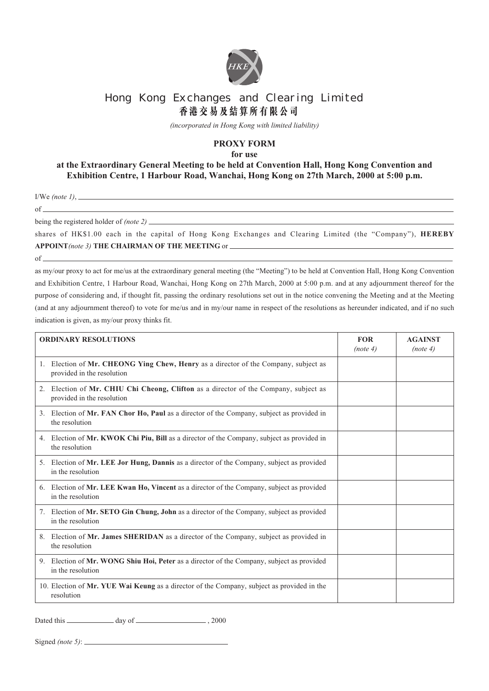

## Hong Kong Exchanges and Clearing Limited **香港交易及結算所有限公司**

*(incorporated in Hong Kong with limited liability)*

## **PROXY FORM**

**for use**

## **at the Extraordinary General Meeting to be held at Convention Hall, Hong Kong Convention and Exhibition Centre, 1 Harbour Road, Wanchai, Hong Kong on 27th March, 2000 at 5:00 p.m.**

I/We *(note 1)*, of

being the registered holder of *(note 2)*

shares of HK\$1.00 each in the capital of Hong Kong Exchanges and Clearing Limited (the "Company"), **HEREBY APPOINT***(note 3)* **THE CHAIRMAN OF THE MEETING** or

of

as my/our proxy to act for me/us at the extraordinary general meeting (the "Meeting") to be held at Convention Hall, Hong Kong Convention and Exhibition Centre, 1 Harbour Road, Wanchai, Hong Kong on 27th March, 2000 at 5:00 p.m. and at any adjournment thereof for the purpose of considering and, if thought fit, passing the ordinary resolutions set out in the notice convening the Meeting and at the Meeting (and at any adjournment thereof) to vote for me/us and in my/our name in respect of the resolutions as hereunder indicated, and if no such indication is given, as my/our proxy thinks fit.

| <b>ORDINARY RESOLUTIONS</b>                                                                                        | <b>FOR</b><br>(note 4) | <b>AGAINST</b><br>(note 4) |
|--------------------------------------------------------------------------------------------------------------------|------------------------|----------------------------|
| 1. Election of Mr. CHEONG Ying Chew, Henry as a director of the Company, subject as<br>provided in the resolution  |                        |                            |
| 2. Election of Mr. CHIU Chi Cheong, Clifton as a director of the Company, subject as<br>provided in the resolution |                        |                            |
| 3. Election of Mr. FAN Chor Ho, Paul as a director of the Company, subject as provided in<br>the resolution        |                        |                            |
| 4. Election of Mr. KWOK Chi Piu, Bill as a director of the Company, subject as provided in<br>the resolution       |                        |                            |
| 5. Election of Mr. LEE Jor Hung, Dannis as a director of the Company, subject as provided<br>in the resolution     |                        |                            |
| 6. Election of Mr. LEE Kwan Ho, Vincent as a director of the Company, subject as provided<br>in the resolution     |                        |                            |
| 7. Election of Mr. SETO Gin Chung, John as a director of the Company, subject as provided<br>in the resolution     |                        |                            |
| 8. Election of Mr. James SHERIDAN as a director of the Company, subject as provided in<br>the resolution           |                        |                            |
| 9. Election of Mr. WONG Shiu Hoi, Peter as a director of the Company, subject as provided<br>in the resolution     |                        |                            |
| 10. Election of Mr. YUE Wai Keung as a director of the Company, subject as provided in the<br>resolution           |                        |                            |

Dated this day of , 2000

Signed *(note 5)*: